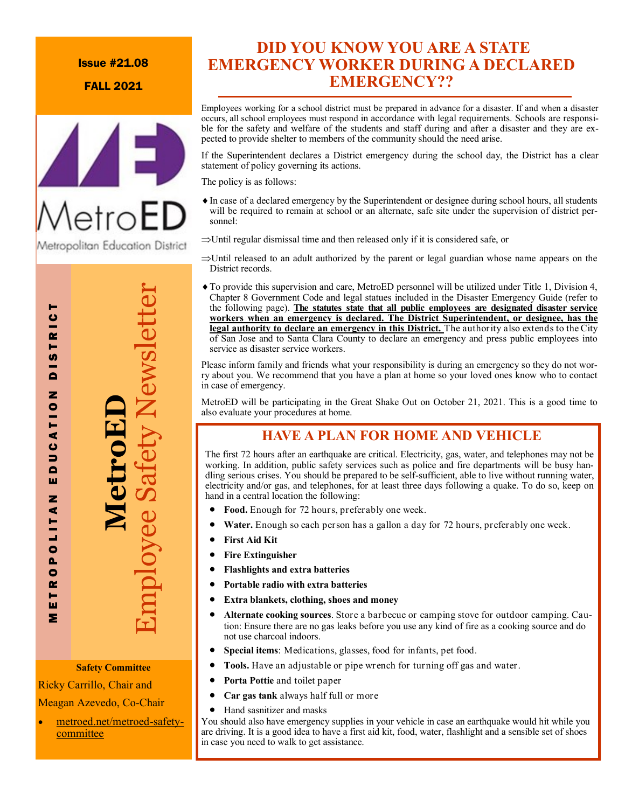### Issue #21.08

FALL 2021



# **MetroED** Employee Safety Newsletter

M E T R O P O L I T A N E D U C A T I O N D I S T R I C T

₫ ن  $\overline{\phantom{0}}$  $\blacksquare$ ш z ₫ LIT.  $\overline{\bullet}$ Δ.  $\bullet$  $\sim$ н ш Σ

Ò  $\overline{R}$ Н  $\frac{1}{2}$  $\overline{\mathbf{C}}$ z  $T10$ 

### **Safety Committee**

Ricky Carrillo, Chair and

Meagan Azevedo, Co-Chair

 [metroed.net/metroed](metroed.net/metroed-safety-committee)-safety[committee](metroed.net/metroed-safety-committee)

### **DID YOU KNOW YOU ARE A STATE EMERGENCY WORKER DURING A DECLARED EMERGENCY??**

Employees working for a school district must be prepared in advance for a disaster. If and when a disaster occurs, all school employees must respond in accordance with legal requirements. Schools are responsible for the safety and welfare of the students and staff during and after a disaster and they are expected to provide shelter to members of the community should the need arise.

If the Superintendent declares a District emergency during the school day, the District has a clear statement of policy governing its actions.

The policy is as follows:

- In case of a declared emergency by the Superintendent or designee during school hours, all students will be required to remain at school or an alternate, safe site under the supervision of district personnel:
- $\Rightarrow$ Until regular dismissal time and then released only if it is considered safe, or
- $\Rightarrow$  Until released to an adult authorized by the parent or legal guardian whose name appears on the District records.
- To provide this supervision and care, MetroED personnel will be utilized under Title 1, Division 4, Chapter 8 Government Code and legal statues included in the Disaster Emergency Guide (refer to the following page). **The statutes state that all public employees are designated disaster service workers when an emergency is declared. The District Superintendent, or designee, has the legal authority to declare an emergency in this District.** The authority also extends to the City of San Jose and to Santa Clara County to declare an emergency and press public employees into service as disaster service workers.

Please inform family and friends what your responsibility is during an emergency so they do not worry about you. We recommend that you have a plan at home so your loved ones know who to contact in case of emergency.

MetroED will be participating in the Great Shake Out on October 21, 2021. This is a good time to also evaluate your procedures at home.

### **HAVE A PLAN FOR HOME AND VEHICLE**

The first 72 hours after an earthquake are critical. Electricity, gas, water, and telephones may not be working. In addition, public safety services such as police and fire departments will be busy handling serious crises. You should be prepared to be self-sufficient, able to live without running water, electricity and/or gas, and telephones, for at least three days following a quake. To do so, keep on hand in a central location the following:

- **Food.** Enough for 72 hours, preferably one week.
- **Water.** Enough so each person has a gallon a day for 72 hours, preferably one week.
- **First Aid Kit**
- **Fire Extinguisher**
- **Flashlights and extra batteries**
- **Portable radio with extra batteries**
- **Extra blankets, clothing, shoes and money**
- **Alternate cooking sources**. Store a barbecue or camping stove for outdoor camping. Caution: Ensure there are no gas leaks before you use any kind of fire as a cooking source and do not use charcoal indoors.
- **Special items**: Medications, glasses, food for infants, pet food.
- **Tools.** Have an adjustable or pipe wrench for turning off gas and water.
- **Porta Pottie** and toilet paper
- **Car gas tank** always half full or more
- Hand sasnitizer and masks

You should also have emergency supplies in your vehicle in case an earthquake would hit while you are driving. It is a good idea to have a first aid kit, food, water, flashlight and a sensible set of shoes in case you need to walk to get assistance.